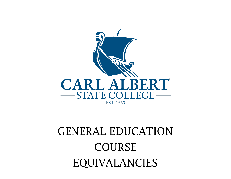

## GENERAL EDUCATION COURSE EQUIVALANCIES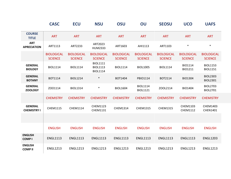|                                      | <b>CASC</b>                         | <b>ECU</b>                          | <b>NSU</b>                                            | <b>OSU</b>                          | OU                                  | <b>SEOSU</b>                        | <b>UCO</b>                          | <b>UAFS</b>                         |
|--------------------------------------|-------------------------------------|-------------------------------------|-------------------------------------------------------|-------------------------------------|-------------------------------------|-------------------------------------|-------------------------------------|-------------------------------------|
| <b>COURSE</b><br><b>TITLE</b>        | <b>ART</b>                          | <b>ART</b>                          | <b>ART</b>                                            | <b>ART</b>                          | <b>ART</b>                          | <b>ART</b>                          | <b>ART</b>                          | <b>ART</b>                          |
| <b>ART</b><br><b>APRECIATION</b>     | ART1113                             | ART2233                             | ART2023<br><b>HUM2333</b>                             | ART1603                             | AHI1113                             | ART1103                             | $\ast$                              | $\ast$                              |
|                                      | <b>BIOLOGICAL</b><br><b>SCIENCE</b> | <b>BIOLOGICAL</b><br><b>SCIENCE</b> | <b>BIOLOGICAL</b><br><b>SCIENCE</b>                   | <b>BIOLOGICAL</b><br><b>SCIENCE</b> | <b>BIOLOGICAL</b><br><b>SCIENCE</b> | <b>BIOLOGICAL</b><br><b>SCIENCE</b> | <b>BIOLOGICAL</b><br><b>SCIENCE</b> | <b>BIOLOGICAL</b><br><b>SCIENCE</b> |
| <b>GENERAL</b><br><b>BIOLOGY</b>     | <b>BIOL1114</b>                     | <b>BIOL1114</b>                     | <b>BIOL1111</b><br><b>BIOL1113</b><br><b>BIOL1114</b> | <b>BIOL1114</b>                     | <b>BIOL1005</b>                     | <b>BIOL1114</b>                     | <b>BIO1114</b><br>BIO1211           | <b>BIOL1153</b><br><b>BIOL1151</b>  |
| <b>GENERAL</b><br><b>BOTANY</b>      | BOT1114                             | <b>BIOL1214</b>                     | $\ast$                                                | BOT1404                             | PBIO1114                            | BOT2114                             | <b>BIO1304</b>                      | <b>BIOL2303</b><br><b>BIOL2301</b>  |
| <b>GENERAL</b><br><b>ZOOLOGY</b>     | ZO01114                             | <b>BIOL1314</b>                     | $\ast$                                                | <b>BIOL1604</b>                     | <b>BIOL1114</b><br><b>BIOL1121</b>  | ZOOL2114                            | <b>BIO1404</b>                      | <b>BIOL2703</b><br><b>BIOL2701</b>  |
|                                      | <b>CHEMISTRY</b>                    | <b>CHEMISTRY</b>                    | <b>CHEMISTRY</b>                                      | <b>CHEMISTRY</b>                    | <b>CHEMISTRY</b>                    | <b>CHEMISTRY</b>                    | <b>CHEMISTRY</b>                    | <b>CHEMISTRY</b>                    |
| <b>GENERAL</b><br><b>CHEMISTRY I</b> | <b>CHEM1115</b>                     | CHEM1114                            | <b>CHEM1123</b><br>CHEM1131                           | CHEM1314                            | <b>CHEM1315</b>                     | <b>CHEM1315</b>                     | CHEM1103<br>CHEM1112                | <b>CHEM1403</b><br>CHEN1401         |
|                                      |                                     |                                     |                                                       |                                     |                                     |                                     |                                     |                                     |
|                                      | <b>ENGLISH</b>                      | <b>ENGLISH</b>                      | <b>ENGLISH</b>                                        | <b>ENGLISH</b>                      | <b>ENGLISH</b>                      | <b>ENGLISH</b>                      | <b>ENGLISH</b>                      | <b>ENGLISH</b>                      |
| <b>ENGLISH</b><br><b>COMPI</b>       | <b>ENGL1113</b>                     | <b>ENGL1113</b>                     | <b>ENGL1113</b>                                       | <b>ENGL1113</b>                     | <b>ENGL1113</b>                     | <b>ENGL1113</b>                     | <b>ENGL1113</b>                     | <b>ENGL1203</b>                     |
| <b>ENGLISH</b><br><b>COMPII</b>      | <b>ENGL1213</b>                     | <b>ENGL1213</b>                     | <b>ENGL1213</b>                                       | <b>ENGL1213</b>                     | <b>ENGL1213</b>                     | <b>ENGL1213</b>                     | <b>ENGL1213</b>                     | <b>ENGL1213</b>                     |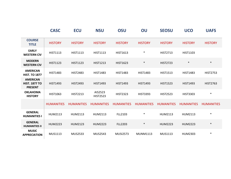|                                                           | <b>CASC</b>       | <b>ECU</b>        | <b>NSU</b>                 | OSU               | OU                | <b>SEOSU</b>      | <b>UCO</b>        | <b>UAFS</b>       |
|-----------------------------------------------------------|-------------------|-------------------|----------------------------|-------------------|-------------------|-------------------|-------------------|-------------------|
| <b>COURSE</b><br><b>TITLE</b>                             | <b>HISTORY</b>    | <b>HISTORY</b>    | <b>HISTORY</b>             | <b>HISTORY</b>    | <b>HISTORY</b>    | <b>HISTORY</b>    | <b>HISTORY</b>    | <b>HISTORY</b>    |
| <b>EARLY</b><br><b>WESTERN CIV</b>                        | <b>HIST1113</b>   | <b>HIST1113</b>   | <b>HIST1113</b>            | <b>HIST1613</b>   | $\ast$            | <b>HIST2713</b>   | <b>HIST1103</b>   |                   |
| <b>MODERN</b><br><b>WESTERN CIV</b>                       | <b>HIST1123</b>   | <b>HIST1123</b>   | <b>HIST1213</b>            | <b>HIST1623</b>   | $\ast$            | <b>HIST2723</b>   | $\ast$            | $\ast$            |
| <b>AMERICAN</b><br><b>HIST. TO 1877</b>                   | <b>HIST1483</b>   | <b>HIST2483</b>   | <b>HIST1483</b>            | <b>HIST1483</b>   | <b>HIST1483</b>   | <b>HIST1513</b>   | <b>HIST1483</b>   | <b>HIST2753</b>   |
| <b>AMERICAN</b><br><b>HIST. 1877 TO</b><br><b>PRESENT</b> | <b>HIST1493</b>   | <b>HIST2493</b>   | <b>HIST1493</b>            | <b>HIST1493</b>   | <b>HIST1493</b>   | <b>HIST1523</b>   | <b>HIST1493</b>   | <b>HIST2763</b>   |
| <b>OKLAHOMA</b><br><b>HISTORY</b>                         | HIST1063          | <b>HIST2213</b>   | AIS2523<br><b>HIST2523</b> | <b>HIST2323</b>   | <b>HIST3393</b>   | <b>HIST2523</b>   | <b>HIST3303</b>   | $\ast$            |
|                                                           | <b>HUMANITIES</b> | <b>HUMANITIES</b> | <b>HUMANITIES</b>          | <b>HUMANITIES</b> | <b>HUMANITIES</b> | <b>HUMANITIES</b> | <b>HUMANITIES</b> | <b>HUMANITIES</b> |
| <b>GENERAL</b><br><b>HUMANITIES I</b>                     | <b>HUM2113</b>    | HUM2113           | HUM2113                    | FLL2103           | $\ast$            | HUM2113           | HUM2113           | $\ast$            |
| <b>GENERAL</b><br><b>HUMANITIES II</b>                    | <b>HUM2223</b>    | <b>HUM2123</b>    | <b>HUM2223</b>             | <b>FLL2203</b>    | $\ast$            | <b>HUM2223</b>    | <b>HUM2223</b>    | $\ast$            |
| <b>MUSIC</b><br><b>APPRECIATION</b>                       | MUS1113           | <b>MUS2533</b>    | <b>MUS2543</b>             | <b>MUSI2573</b>   | <b>MUNM1113</b>   | <b>MUS1113</b>    | HUM2303           | $\ast$            |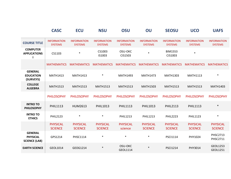|                                                           | <b>CASC</b>                          | <b>ECU</b>                           | <b>NSU</b>                           | <b>OSU</b>                           | OU                                   | <b>SEOSU</b>                         | <b>UCO</b>                           | <b>UAFS</b>                          |
|-----------------------------------------------------------|--------------------------------------|--------------------------------------|--------------------------------------|--------------------------------------|--------------------------------------|--------------------------------------|--------------------------------------|--------------------------------------|
| <b>COURSE TITLE</b>                                       | <b>INFORMATION</b><br><b>SYSTEMS</b> | <b>INFORMATION</b><br><b>SYSTEMS</b> | <b>INFORMATION</b><br><b>SYSTEMS</b> | <b>INFORMATION</b><br><b>SYSTEMS</b> | <b>INFORMATION</b><br><b>SYSTEMS</b> | <b>INFORMATION</b><br><b>SYSTEMS</b> | <b>INFORMATION</b><br><b>SYSTEMS</b> | <b>INFORMATION</b><br><b>SYSTEMS</b> |
| <b>COMPUTER</b><br><b>APPLICATIONS</b>                    | CS1103                               | $\ast$                               | CS1003<br>IS1003                     | OSU-OKC<br>CIS1503                   | $\ast$                               | <b>BIM1553</b><br>CIS1003            | $\ast$                               |                                      |
|                                                           | <b>MATHEMATICS</b>                   | <b>MATHEMATICS</b>                   | <b>MATHEMATICS</b>                   | <b>MATHEMATICS</b>                   | <b>MATHEMATICS</b>                   | <b>MATHEMATICS</b>                   | <b>MATHEMATICS</b>                   | <b>MATHEMATICS</b>                   |
| <b>GENERAL</b><br><b>EDUCATION</b><br>(SURVEYS)           | <b>MATH1413</b>                      | <b>MATH1413</b>                      | $\ast$                               | <b>MATH1493</b>                      | <b>MATH1473</b>                      | <b>MATH1303</b>                      | <b>MATH1113</b>                      | $\ast$                               |
| <b>COLLEGE</b><br><b>ALGEBRA</b>                          | <b>MATH1513</b>                      | <b>MATH1513</b>                      | <b>MATH1513</b>                      | <b>MATH1513</b>                      | <b>MATH1503</b>                      | <b>MATH1513</b>                      | <b>MATH1513</b>                      | <b>MATH1403</b>                      |
|                                                           | <b>PHILOSOPHY</b>                    | <b>PHILOSOPHY</b>                    | <b>PHILOSOPHY</b>                    | <b>PHILOSOPHY</b>                    | <b>PHILOSOPHY</b>                    | <b>PHILOSOPHY</b>                    | <b>PHILOSOPHY</b>                    | <b>PHILOSOPHY</b>                    |
| <b>INTRO TO</b><br><b>PHILOSOPHY</b>                      | <b>PHIL1113</b>                      | HUM2613                              | PHIL1013                             | <b>PHIL1113</b>                      | PHIL1013                             | <b>PHIL2113</b>                      | <b>PHIL1113</b>                      | $\ast$                               |
| <b>INTRO TO</b><br><b>ETHICS</b>                          | <b>PHIL2123</b>                      | $\ast$                               | $\ast$                               | <b>PHIL1213</b>                      | <b>PHIL1213</b>                      | <b>PHIL2223</b>                      | <b>PHIL1123</b>                      | $\ast$                               |
|                                                           | <b>PHYSICAL</b><br><b>SCIENCE</b>    | <b>PHYSICAL</b><br><b>SCIENCE</b>    | <b>PHYSICAL</b><br><b>SCIENCE</b>    | <b>PHYSICAL</b><br>science           | <b>PHYSICAL</b><br><b>SCIENCE</b>    | <b>PHYSICAL</b><br><b>SCIENCE</b>    | <b>PHYSICAL</b><br><b>SCIENCE</b>    | <b>PHYSICAL</b><br><b>SCIENCE</b>    |
| <b>GENERAL</b><br><b>PHYSICAL</b><br><b>SCIENCE (LAB)</b> | GPS1214                              | <b>PHSC1114</b>                      | $\ast$                               | $\ast$                               | $\ast$                               | <b>PSCI1114</b>                      | PHY1024                              | <b>PHSC2713</b><br>PHSC2711          |
| <b>EARTH SCIENCE</b>                                      | GEOL1014                             | GEOG1214                             | $\ast$                               | OSU-OKC<br>GEOL1114                  | $\ast$                               | <b>PSCI1214</b>                      | PHY3014                              | GEOL1253<br>GEOL1251                 |